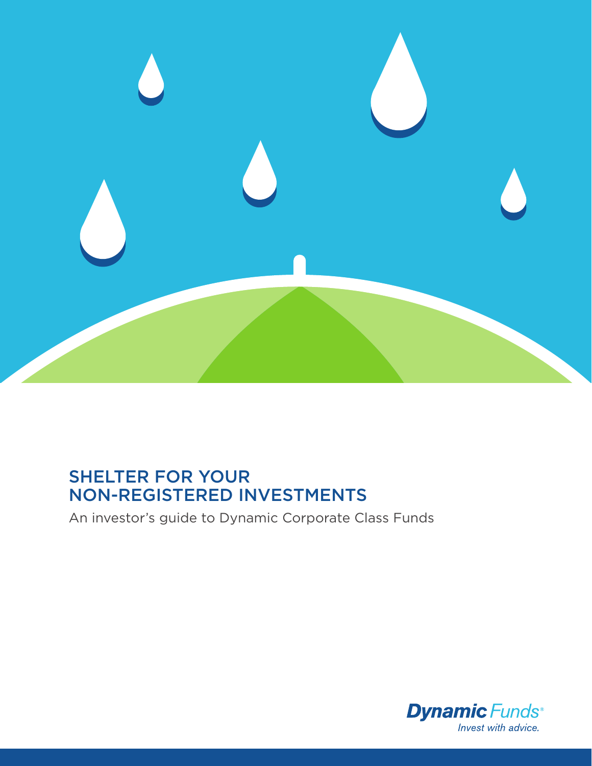

# SHELTER FOR YOUR NON-REGISTERED INVESTMENTS

An investor's guide to Dynamic Corporate Class Funds

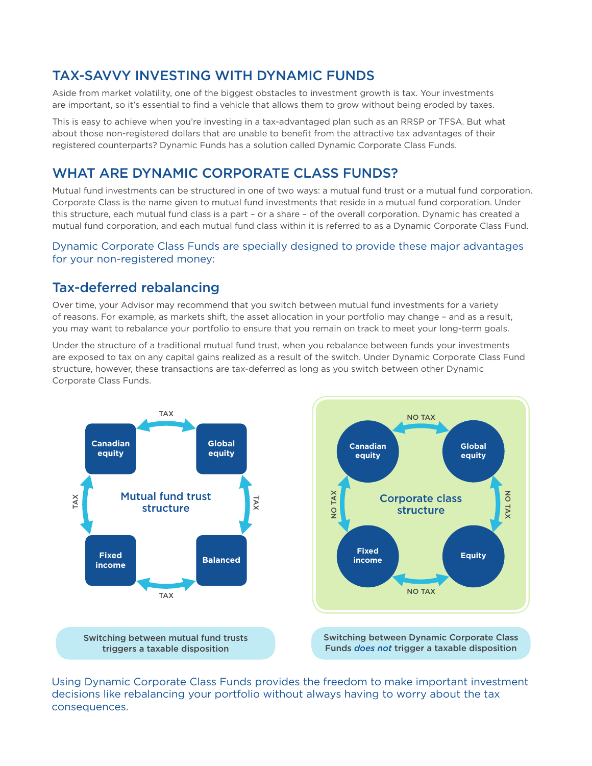## TAX-SAVVY INVESTING WITH DYNAMIC FUNDS

Aside from market volatility, one of the biggest obstacles to investment growth is tax. Your investments are important, so it's essential to find a vehicle that allows them to grow without being eroded by taxes.

This is easy to achieve when you're investing in a tax-advantaged plan such as an RRSP or TFSA. But what about those non-registered dollars that are unable to benefit from the attractive tax advantages of their registered counterparts? Dynamic Funds has a solution called Dynamic Corporate Class Funds.

## WHAT ARE DYNAMIC CORPORATE CLASS FUNDS?

Mutual fund investments can be structured in one of two ways: a mutual fund trust or a mutual fund corporation. Corporate Class is the name given to mutual fund investments that reside in a mutual fund corporation. Under this structure, each mutual fund class is a part – or a share – of the overall corporation. Dynamic has created a mutual fund corporation, and each mutual fund class within it is referred to as a Dynamic Corporate Class Fund.

#### Dynamic Corporate Class Funds are specially designed to provide these major advantages for your non-registered money:

### Tax-deferred rebalancing

Over time, your Advisor may recommend that you switch between mutual fund investments for a variety of reasons. For example, as markets shift, the asset allocation in your portfolio may change – and as a result, you may want to rebalance your portfolio to ensure that you remain on track to meet your long-term goals.

Under the structure of a traditional mutual fund trust, when you rebalance between funds your investments are exposed to tax on any capital gains realized as a result of the switch. Under Dynamic Corporate Class Fund structure, however, these transactions are tax-deferred as long as you switch between other Dynamic Corporate Class Funds.



Using Dynamic Corporate Class Funds provides the freedom to make important investment decisions like rebalancing your portfolio without always having to worry about the tax consequences.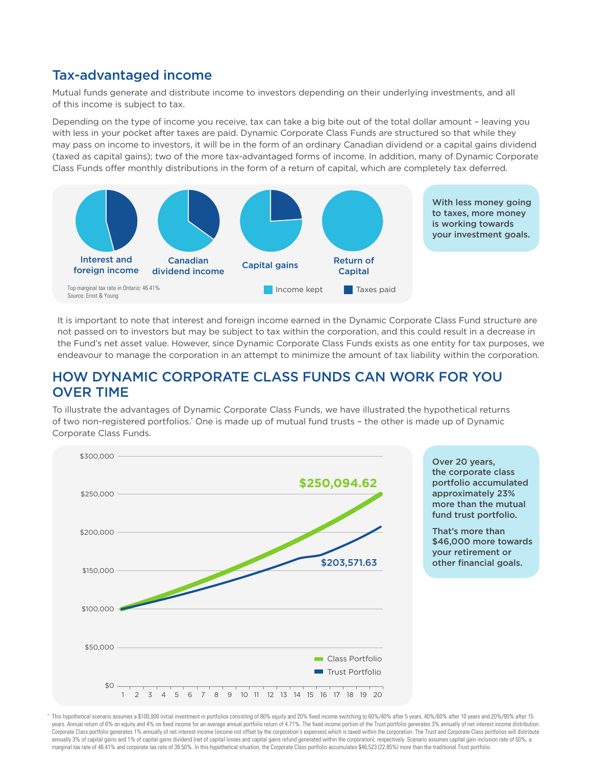### Tax-advantaged income

Mutual funds generate and distribute income to investors depending on their underlying investments, and all of this income is subject to tax.

Depending on the type of income you receive, tax can take a big bite out of the total dollar amount – leaving you with less in your pocket after taxes are paid. Dynamic Corporate Class Funds are structured so that while they may pass on income to investors, it will be in the form of an ordinary Canadian dividend or a capital gains dividend (taxed as capital gains); two of the more tax-advantaged forms of income. In addition, many of Dynamic Corporate Class Funds offer monthly distributions in the form of a return of capital, which are completely tax deferred.



It is important to note that interest and foreign income earned in the Dynamic Corporate Class Fund structure are not passed on to investors but may be subject to tax within the corporation, and this could result in a decrease in the Fund's net asset value. However, since Dynamic Corporate Class Funds exists as one entity for tax purposes, we endeavour to manage the corporation in an attempt to minimize the amount of tax liability within the corporation.

### HOW DYNAMIC CORPORATE CLASS FUNDS CAN WORK FOR YOU OVER TIME

To illustrate the advantages of Dynamic Corporate Class Funds, we have illustrated the hypothetical returns of two non-registered portfolios.' One is made up of mutual fund trusts - the other is made up of Dynamic Corporate Class Funds.



 $^*$  This hypothetical scenario assumes a \$100,000 initial investment in portfolios consisting of 80% equity and 20% fixed income switching to 60%/40% after 5 years, 40%/60% after 10 years and 20%/80% after 15 years. Annual return of 6% on equity and 4% on fixed income for an average annual portfolio return of 4.71%. The fixed income portion of the Trust portfolio generates 3% annually of net interest income distribution. Corporate Class portfolio generates 1% annually of net interest income (income not offset by the corporation's expenses) which is taxed within the corporation. The Trust and Corporate Class portfolios will distribute annually 3% of capital gains and 1% of capital gains dividend (net of capital losses and capital gains refund generated within the corporation), respectively. Scenario assumes capital gain inclusion rate of 50%, a marginal tax rate of 46.41% and corporate tax rate of 39.50%. In this hypothetical situation, the Corporate Class portfolio accumulates \$46,523 (22.85%) more than the traditional Trust portfolio.